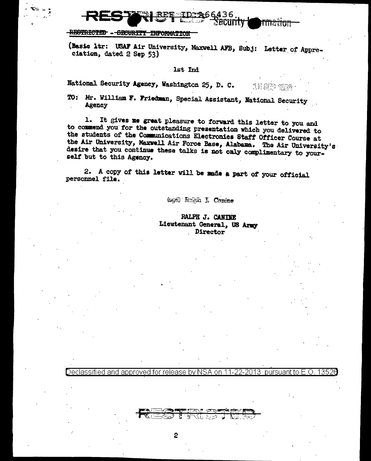N66436, <u>Security</u>

## -RESTRICTED - GECURITY INFORMATION

Declassified and approved for release by NSA on

 $\overline{c}$ 

(Basic ltr: USAF Air University, Maxwell AFB, Subj: Letter of Appreciation, dated 2 Sep 53)

## 1st Ind

National Security Agency, Washington 25, D. C. 15 SPD 1958

TO: Mr. William F. Friedman, Special Assistant, National Security Agency

1. It gives me great pleasure to forward this letter to you and to commend you for the outstanding presentation which you delivered to the students of the Communications Electronies Staff Officer Course at the Air University, Maxwell Air Force Base, Alabama. The Air University's desire that you continue these talks is not only complimentary to your. self but to this Agency.

2. A copy of this letter will be made a part of your official personnel file.

(sgd) Rabh I. Conine

RALPH J. CANINE Lieutenant General, US Army Director

<u>11-22-2013 pursuant to E.O.</u>

135